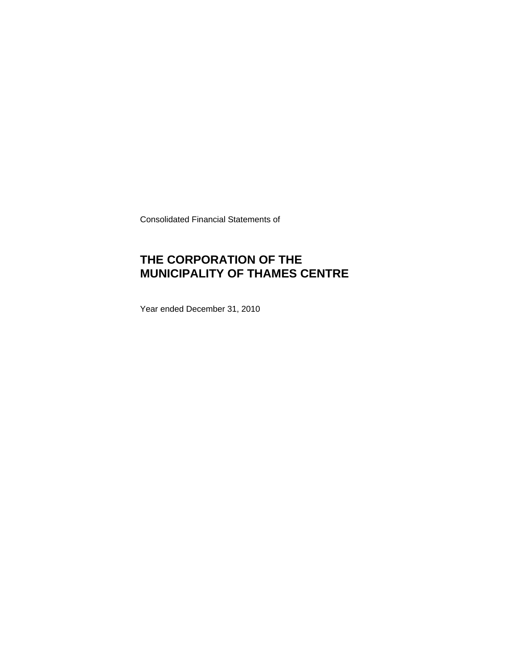Consolidated Financial Statements of

## **THE CORPORATION OF THE MUNICIPALITY OF THAMES CENTRE**

Year ended December 31, 2010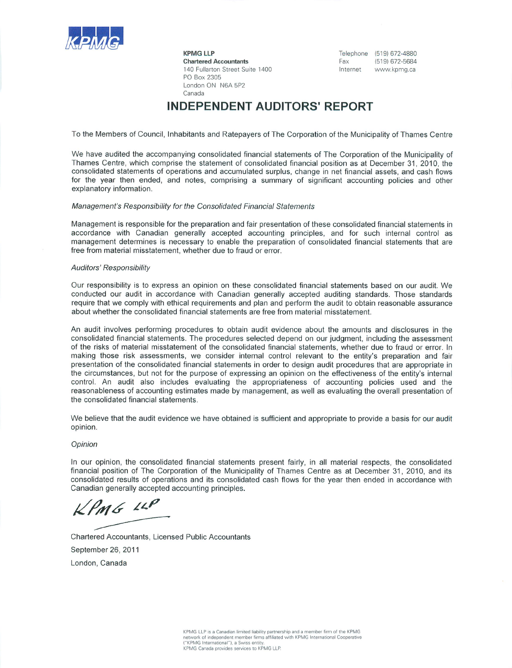

**KPMG LLP Chartered Accountants** 140 Fullarton Street Suite 1400 PO Box 2305 London ON N6A 5P2 Canada

Telephone (519) 672-4880 Fax (519) 672-5684 Internet www.kpmg.ca

# **INDEPENDENT AUDITORS' REPORT**

To the Members of Council, Inhabitants and Ratepayers of The Corporation of the Municipality of Thames Centre

We have audited the accompanying consolidated financial statements of The Corporation of the Municipality of Thames Centre, which comprise the statement of consolidated financial position as at December 31, 2010, the consolidated statements of operations and accumulated surplus, change in net financial assets, and cash flows for the year then ended, and notes, comprising a summary of significant accounting policies and other explanatory information.

#### Management's Responsibility for the Consolidated Financial Statements

Management is responsible for the preparation and fair presentation of these consolidated financial statements in accordance with Canadian generally accepted accounting principles, and for such internal control as management determines is necessary to enable the preparation of consolidated financial statements that are free from material misstatement, whether due to fraud or error.

#### **Auditors' Responsibility**

Our responsibility is to express an opinion on these consolidated financial statements based on our audit. We conducted our audit in accordance with Canadian generally accepted auditing standards. Those standards require that we comply with ethical requirements and plan and perform the audit to obtain reasonable assurance about whether the consolidated financial statements are free from material misstatement.

An audit involves performing procedures to obtain audit evidence about the amounts and disclosures in the consolidated financial statements. The procedures selected depend on our judgment, including the assessment of the risks of material misstatement of the consolidated financial statements, whether due to fraud or error. In making those risk assessments, we consider internal control relevant to the entity's preparation and fair presentation of the consolidated financial statements in order to design audit procedures that are appropriate in the circumstances, but not for the purpose of expressing an opinion on the effectiveness of the entity's internal control. An audit also includes evaluating the appropriateness of accounting policies used and the reasonableness of accounting estimates made by management, as well as evaluating the overall presentation of the consolidated financial statements.

We believe that the audit evidence we have obtained is sufficient and appropriate to provide a basis for our audit opinion.

#### Opinion

In our opinion, the consolidated financial statements present fairly, in all material respects, the consolidated financial position of The Corporation of the Municipality of Thames Centre as at December 31, 2010, and its consolidated results of operations and its consolidated cash flows for the year then ended in accordance with Canadian generally accepted accounting principles.

KPMG LLP

**Chartered Accountants, Licensed Public Accountants** September 26, 2011 London, Canada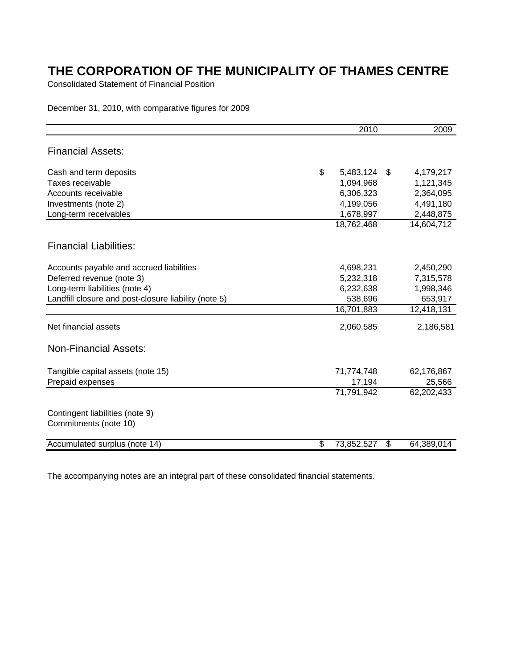Consolidated Statement of Financial Position

December 31, 2010, with comparative figures for 2009

|                                                          | 2010             | 2009             |
|----------------------------------------------------------|------------------|------------------|
| <b>Financial Assets:</b>                                 |                  |                  |
| Cash and term deposits                                   | \$<br>5,483,124  | \$<br>4,179,217  |
| Taxes receivable                                         | 1,094,968        | 1,121,345        |
| Accounts receivable                                      | 6,306,323        | 2,364,095        |
| Investments (note 2)                                     | 4,199,056        | 4,491,180        |
| Long-term receivables                                    | 1,678,997        | 2,448,875        |
|                                                          | 18,762,468       | 14,604,712       |
| <b>Financial Liabilities:</b>                            |                  |                  |
| Accounts payable and accrued liabilities                 | 4,698,231        | 2,450,290        |
| Deferred revenue (note 3)                                | 5,232,318        | 7,315,578        |
| Long-term liabilities (note 4)                           | 6,232,638        | 1,998,346        |
| Landfill closure and post-closure liability (note 5)     | 538,696          | 653,917          |
|                                                          | 16,701,883       | 12,418,131       |
| Net financial assets                                     | 2,060,585        | 2,186,581        |
| <b>Non-Financial Assets:</b>                             |                  |                  |
| Tangible capital assets (note 15)                        | 71,774,748       | 62,176,867       |
| Prepaid expenses                                         | 17,194           | 25,566           |
|                                                          | 71,791,942       | 62,202,433       |
| Contingent liabilities (note 9)<br>Commitments (note 10) |                  |                  |
| Accumulated surplus (note 14)                            | \$<br>73,852,527 | \$<br>64,389,014 |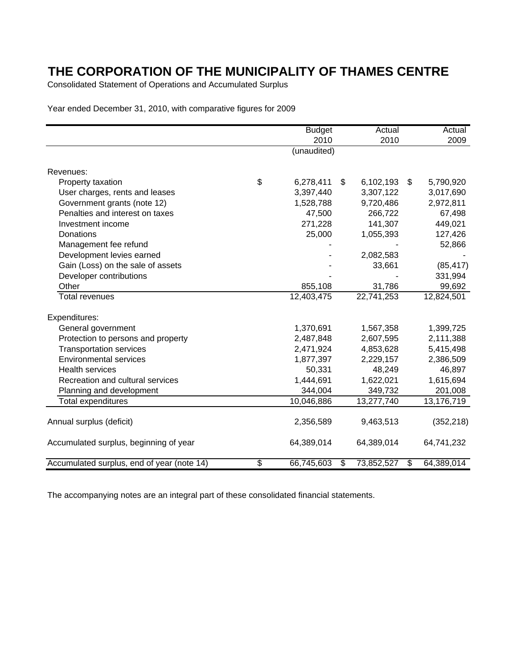Consolidated Statement of Operations and Accumulated Surplus

|                                                               | <b>Budget</b> | Actual           | Actual           |
|---------------------------------------------------------------|---------------|------------------|------------------|
|                                                               | 2010          | 2010             | 2009             |
|                                                               | (unaudited)   |                  |                  |
| Revenues:                                                     |               |                  |                  |
| \$<br>Property taxation                                       | 6,278,411     | \$<br>6,102,193  | \$<br>5,790,920  |
| User charges, rents and leases                                | 3,397,440     | 3,307,122        | 3,017,690        |
| Government grants (note 12)                                   | 1,528,788     | 9,720,486        | 2,972,811        |
| Penalties and interest on taxes                               | 47,500        | 266,722          | 67,498           |
| Investment income                                             | 271,228       | 141,307          | 449,021          |
| Donations                                                     | 25,000        | 1,055,393        | 127,426          |
| Management fee refund                                         |               |                  | 52,866           |
| Development levies earned                                     |               | 2,082,583        |                  |
| Gain (Loss) on the sale of assets                             |               | 33,661           | (85, 417)        |
| Developer contributions                                       |               |                  | 331,994          |
| Other                                                         | 855,108       | 31,786           | 99,692           |
| <b>Total revenues</b>                                         | 12,403,475    | 22,741,253       | 12,824,501       |
| Expenditures:                                                 |               |                  |                  |
| General government                                            | 1,370,691     | 1,567,358        | 1,399,725        |
| Protection to persons and property                            | 2,487,848     | 2,607,595        | 2,111,388        |
| <b>Transportation services</b>                                | 2,471,924     | 4,853,628        | 5,415,498        |
| <b>Environmental services</b>                                 | 1,877,397     | 2,229,157        | 2,386,509        |
| <b>Health services</b>                                        | 50,331        | 48,249           | 46,897           |
| Recreation and cultural services                              | 1,444,691     | 1,622,021        | 1,615,694        |
| Planning and development                                      | 344,004       | 349,732          | 201,008          |
| <b>Total expenditures</b>                                     | 10,046,886    | 13,277,740       | 13,176,719       |
| Annual surplus (deficit)                                      | 2,356,589     | 9,463,513        | (352, 218)       |
| Accumulated surplus, beginning of year                        | 64,389,014    | 64,389,014       | 64,741,232       |
| $\overline{\$}$<br>Accumulated surplus, end of year (note 14) | 66,745,603    | \$<br>73,852,527 | \$<br>64,389,014 |

Year ended December 31, 2010, with comparative figures for 2009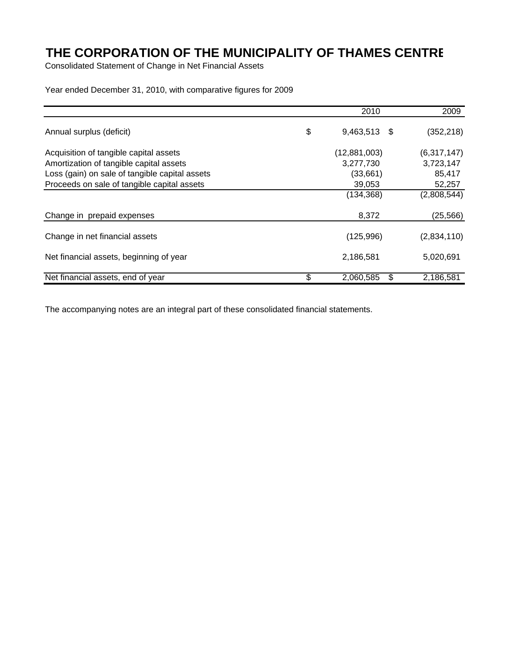Consolidated Statement of Change in Net Financial Assets

Year ended December 31, 2010, with comparative figures for 2009

|                                                                                                                                     | 2010                                  | 2009                               |
|-------------------------------------------------------------------------------------------------------------------------------------|---------------------------------------|------------------------------------|
| Annual surplus (deficit)                                                                                                            | \$<br>9,463,513 \$                    | (352, 218)                         |
| Acquisition of tangible capital assets<br>Amortization of tangible capital assets<br>Loss (gain) on sale of tangible capital assets | (12,881,003)<br>3,277,730<br>(33,661) | (6,317,147)<br>3,723,147<br>85,417 |
| Proceeds on sale of tangible capital assets                                                                                         | 39,053                                | 52,257                             |
|                                                                                                                                     | (134, 368)                            | (2,808,544)                        |
| Change in prepaid expenses                                                                                                          | 8,372                                 | (25, 566)                          |
| Change in net financial assets                                                                                                      | (125, 996)                            | (2,834,110)                        |
| Net financial assets, beginning of year                                                                                             | 2,186,581                             | 5,020,691                          |
| Net financial assets, end of year                                                                                                   | \$<br>2,060,585<br>\$                 | 2,186,581                          |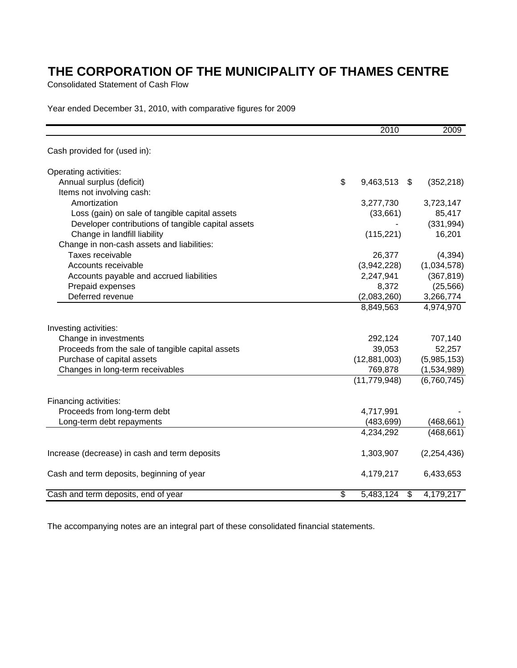Consolidated Statement of Cash Flow

Year ended December 31, 2010, with comparative figures for 2009

|                                                    | 2010            | 2009             |
|----------------------------------------------------|-----------------|------------------|
| Cash provided for (used in):                       |                 |                  |
| Operating activities:                              |                 |                  |
| Annual surplus (deficit)                           | \$<br>9,463,513 | \$<br>(352, 218) |
| Items not involving cash:                          |                 |                  |
| Amortization                                       | 3,277,730       | 3,723,147        |
| Loss (gain) on sale of tangible capital assets     | (33,661)        | 85,417           |
| Developer contributions of tangible capital assets |                 | (331, 994)       |
| Change in landfill liability                       | (115, 221)      | 16,201           |
| Change in non-cash assets and liabilities:         |                 |                  |
| Taxes receivable                                   | 26,377          | (4, 394)         |
| Accounts receivable                                | (3,942,228)     | (1,034,578)      |
| Accounts payable and accrued liabilities           | 2,247,941       | (367, 819)       |
| Prepaid expenses                                   | 8,372           | (25, 566)        |
| Deferred revenue                                   | (2,083,260)     | 3,266,774        |
|                                                    | 8,849,563       | 4,974,970        |
| Investing activities:                              |                 |                  |
| Change in investments                              | 292,124         | 707,140          |
| Proceeds from the sale of tangible capital assets  | 39,053          | 52,257           |
| Purchase of capital assets                         | (12,881,003)    | (5,985,153)      |
| Changes in long-term receivables                   | 769,878         | (1,534,989)      |
|                                                    | (11, 779, 948)  | (6,760,745)      |
| Financing activities:                              |                 |                  |
| Proceeds from long-term debt                       | 4,717,991       |                  |
| Long-term debt repayments                          | (483, 699)      | (468, 661)       |
|                                                    | 4,234,292       | (468, 661)       |
| Increase (decrease) in cash and term deposits      | 1,303,907       | (2, 254, 436)    |
| Cash and term deposits, beginning of year          | 4,179,217       | 6,433,653        |
| Cash and term deposits, end of year                | \$<br>5,483,124 | \$<br>4,179,217  |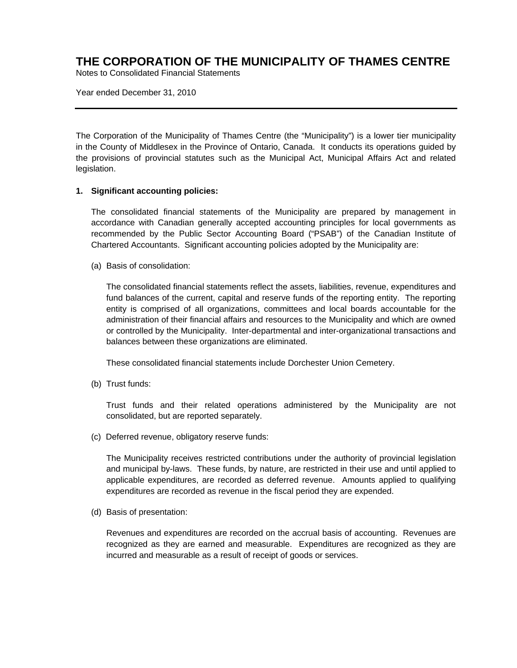Notes to Consolidated Financial Statements

Year ended December 31, 2010

The Corporation of the Municipality of Thames Centre (the "Municipality") is a lower tier municipality in the County of Middlesex in the Province of Ontario, Canada. It conducts its operations guided by the provisions of provincial statutes such as the Municipal Act, Municipal Affairs Act and related legislation.

#### **1. Significant accounting policies:**

The consolidated financial statements of the Municipality are prepared by management in accordance with Canadian generally accepted accounting principles for local governments as recommended by the Public Sector Accounting Board ("PSAB") of the Canadian Institute of Chartered Accountants. Significant accounting policies adopted by the Municipality are:

(a) Basis of consolidation:

The consolidated financial statements reflect the assets, liabilities, revenue, expenditures and fund balances of the current, capital and reserve funds of the reporting entity. The reporting entity is comprised of all organizations, committees and local boards accountable for the administration of their financial affairs and resources to the Municipality and which are owned or controlled by the Municipality. Inter-departmental and inter-organizational transactions and balances between these organizations are eliminated.

These consolidated financial statements include Dorchester Union Cemetery.

(b) Trust funds:

Trust funds and their related operations administered by the Municipality are not consolidated, but are reported separately.

(c) Deferred revenue, obligatory reserve funds:

The Municipality receives restricted contributions under the authority of provincial legislation and municipal by-laws. These funds, by nature, are restricted in their use and until applied to applicable expenditures, are recorded as deferred revenue. Amounts applied to qualifying expenditures are recorded as revenue in the fiscal period they are expended.

(d) Basis of presentation:

Revenues and expenditures are recorded on the accrual basis of accounting. Revenues are recognized as they are earned and measurable. Expenditures are recognized as they are incurred and measurable as a result of receipt of goods or services.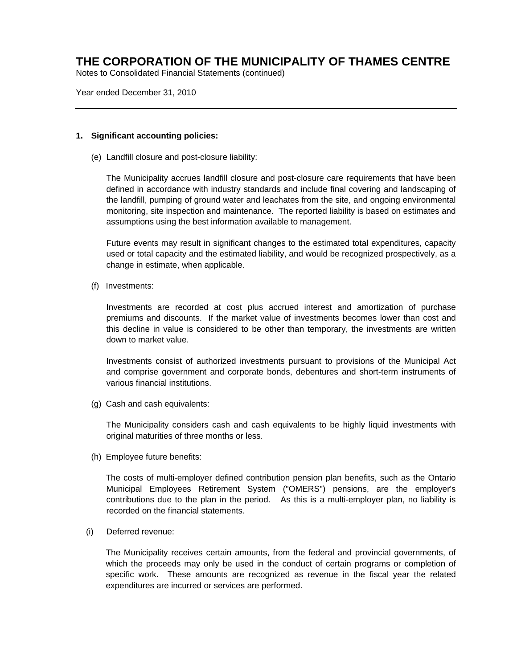Notes to Consolidated Financial Statements (continued)

Year ended December 31, 2010

#### **1. Significant accounting policies:**

(e) Landfill closure and post-closure liability:

The Municipality accrues landfill closure and post-closure care requirements that have been defined in accordance with industry standards and include final covering and landscaping of the landfill, pumping of ground water and leachates from the site, and ongoing environmental monitoring, site inspection and maintenance. The reported liability is based on estimates and assumptions using the best information available to management.

Future events may result in significant changes to the estimated total expenditures, capacity used or total capacity and the estimated liability, and would be recognized prospectively, as a change in estimate, when applicable.

(f) Investments:

Investments are recorded at cost plus accrued interest and amortization of purchase premiums and discounts. If the market value of investments becomes lower than cost and this decline in value is considered to be other than temporary, the investments are written down to market value.

Investments consist of authorized investments pursuant to provisions of the Municipal Act and comprise government and corporate bonds, debentures and short-term instruments of various financial institutions.

(g) Cash and cash equivalents:

The Municipality considers cash and cash equivalents to be highly liquid investments with original maturities of three months or less.

(h) Employee future benefits:

The costs of multi-employer defined contribution pension plan benefits, such as the Ontario Municipal Employees Retirement System ("OMERS") pensions, are the employer's contributions due to the plan in the period. As this is a multi-employer plan, no liability is recorded on the financial statements.

(i) Deferred revenue:

The Municipality receives certain amounts, from the federal and provincial governments, of which the proceeds may only be used in the conduct of certain programs or completion of specific work. These amounts are recognized as revenue in the fiscal year the related expenditures are incurred or services are performed.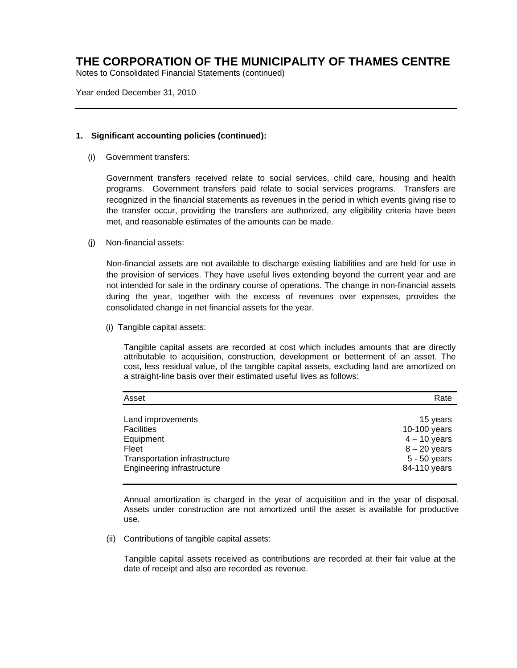Notes to Consolidated Financial Statements (continued)

Year ended December 31, 2010

#### **1. Significant accounting policies (continued):**

(i) Government transfers:

Government transfers received relate to social services, child care, housing and health programs. Government transfers paid relate to social services programs. Transfers are recognized in the financial statements as revenues in the period in which events giving rise to the transfer occur, providing the transfers are authorized, any eligibility criteria have been met, and reasonable estimates of the amounts can be made.

(j) Non-financial assets:

Non-financial assets are not available to discharge existing liabilities and are held for use in the provision of services. They have useful lives extending beyond the current year and are not intended for sale in the ordinary course of operations. The change in non-financial assets during the year, together with the excess of revenues over expenses, provides the consolidated change in net financial assets for the year.

(i) Tangible capital assets:

Tangible capital assets are recorded at cost which includes amounts that are directly attributable to acquisition, construction, development or betterment of an asset. The cost, less residual value, of the tangible capital assets, excluding land are amortized on a straight-line basis over their estimated useful lives as follows:

| Asset                                                                                         | Rate                                                                         |
|-----------------------------------------------------------------------------------------------|------------------------------------------------------------------------------|
| Land improvements<br><b>Facilities</b><br>Equipment<br>Fleet<br>Transportation infrastructure | 15 years<br>10-100 years<br>$4 - 10$ years<br>$8 - 20$ years<br>5 - 50 years |
| Engineering infrastructure                                                                    | 84-110 years                                                                 |

Annual amortization is charged in the year of acquisition and in the year of disposal. Assets under construction are not amortized until the asset is available for productive use.

(ii) Contributions of tangible capital assets:

Tangible capital assets received as contributions are recorded at their fair value at the date of receipt and also are recorded as revenue.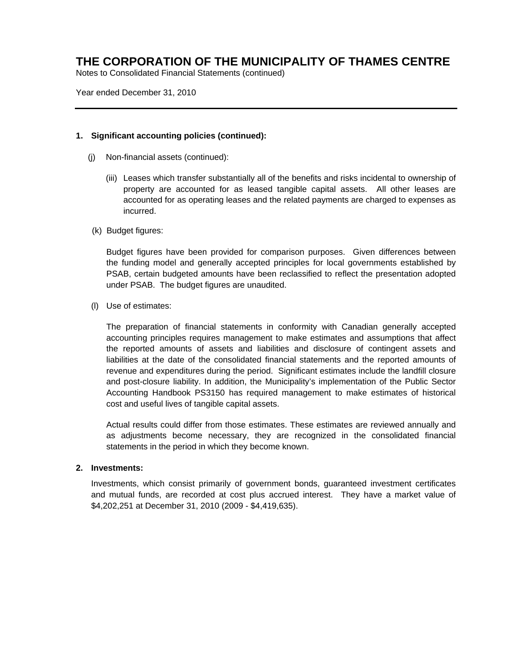Notes to Consolidated Financial Statements (continued)

Year ended December 31, 2010

#### **1. Significant accounting policies (continued):**

- (j) Non-financial assets (continued):
	- (iii) Leases which transfer substantially all of the benefits and risks incidental to ownership of property are accounted for as leased tangible capital assets. All other leases are accounted for as operating leases and the related payments are charged to expenses as incurred.
- (k) Budget figures:

Budget figures have been provided for comparison purposes. Given differences between the funding model and generally accepted principles for local governments established by PSAB, certain budgeted amounts have been reclassified to reflect the presentation adopted under PSAB. The budget figures are unaudited.

(l) Use of estimates:

The preparation of financial statements in conformity with Canadian generally accepted accounting principles requires management to make estimates and assumptions that affect the reported amounts of assets and liabilities and disclosure of contingent assets and liabilities at the date of the consolidated financial statements and the reported amounts of revenue and expenditures during the period. Significant estimates include the landfill closure and post-closure liability. In addition, the Municipality's implementation of the Public Sector Accounting Handbook PS3150 has required management to make estimates of historical cost and useful lives of tangible capital assets.

Actual results could differ from those estimates. These estimates are reviewed annually and as adjustments become necessary, they are recognized in the consolidated financial statements in the period in which they become known.

#### **2. Investments:**

Investments, which consist primarily of government bonds, guaranteed investment certificates and mutual funds, are recorded at cost plus accrued interest. They have a market value of \$4,202,251 at December 31, 2010 (2009 - \$4,419,635).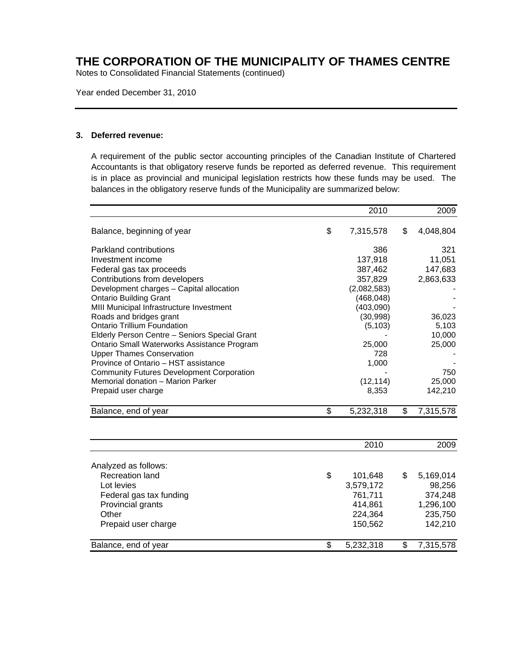Notes to Consolidated Financial Statements (continued)

Year ended December 31, 2010

### **3. Deferred revenue:**

A requirement of the public sector accounting principles of the Canadian Institute of Chartered Accountants is that obligatory reserve funds be reported as deferred revenue. This requirement is in place as provincial and municipal legislation restricts how these funds may be used. The balances in the obligatory reserve funds of the Municipality are summarized below:

|                                                  |                          | 2010        | 2009            |
|--------------------------------------------------|--------------------------|-------------|-----------------|
| Balance, beginning of year                       | \$                       | 7,315,578   | \$<br>4,048,804 |
| Parkland contributions                           |                          | 386         | 321             |
| Investment income                                |                          | 137,918     | 11,051          |
| Federal gas tax proceeds                         |                          | 387,462     | 147,683         |
| Contributions from developers                    |                          | 357,829     | 2,863,633       |
| Development charges - Capital allocation         |                          | (2,082,583) |                 |
| <b>Ontario Building Grant</b>                    |                          | (468, 048)  |                 |
| MIII Municipal Infrastructure Investment         |                          | (403,090)   |                 |
| Roads and bridges grant                          |                          | (30, 998)   | 36,023          |
| <b>Ontario Trillium Foundation</b>               |                          | (5, 103)    | 5,103           |
| Elderly Person Centre - Seniors Special Grant    |                          |             | 10,000          |
| Ontario Small Waterworks Assistance Program      |                          | 25,000      | 25,000          |
| <b>Upper Thames Conservation</b>                 |                          | 728         |                 |
| Province of Ontario - HST assistance             |                          | 1,000       |                 |
| <b>Community Futures Development Corporation</b> |                          |             | 750             |
| Memorial donation - Marion Parker                |                          | (12, 114)   | 25,000          |
| Prepaid user charge                              |                          | 8,353       | 142,210         |
| Balance, end of year                             | $\overline{\mathcal{S}}$ | 5,232,318   | \$<br>7,315,578 |
|                                                  |                          | 2010        | 2009            |
|                                                  |                          |             |                 |
| Analyzed as follows:<br><b>Recreation land</b>   | \$                       | 101,648     | \$<br>5,169,014 |
| Lot levies                                       |                          | 3,579,172   | 98,256          |
| Federal gas tax funding                          |                          | 761,711     | 374,248         |
| Provincial grants                                |                          | 414,861     | 1,296,100       |
| Other                                            |                          | 224,364     | 235,750         |
|                                                  |                          |             |                 |
| Prepaid user charge                              |                          | 150,562     | 142,210         |
| Balance, end of year                             | \$                       | 5,232,318   | \$<br>7,315,578 |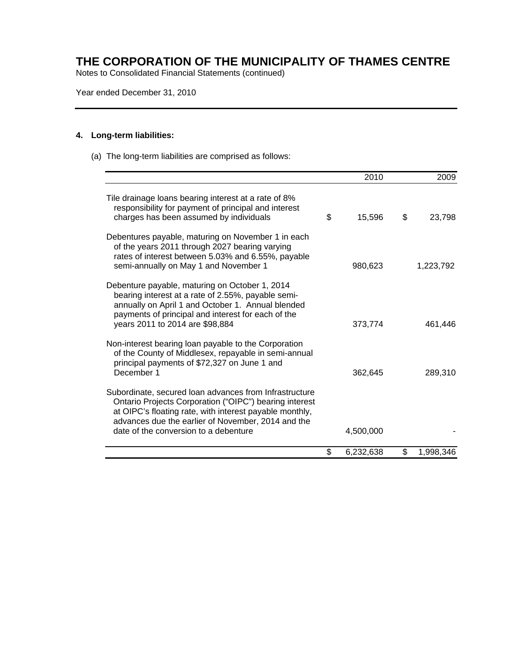Notes to Consolidated Financial Statements (continued)

Year ended December 31, 2010

### **4. Long-term liabilities:**

(a) The long-term liabilities are comprised as follows:

|                                                                                                                                                                                                                                                                            | 2010            | 2009            |
|----------------------------------------------------------------------------------------------------------------------------------------------------------------------------------------------------------------------------------------------------------------------------|-----------------|-----------------|
| Tile drainage loans bearing interest at a rate of 8%<br>responsibility for payment of principal and interest<br>charges has been assumed by individuals                                                                                                                    | \$<br>15,596    | \$<br>23,798    |
| Debentures payable, maturing on November 1 in each<br>of the years 2011 through 2027 bearing varying<br>rates of interest between 5.03% and 6.55%, payable<br>semi-annually on May 1 and November 1                                                                        | 980,623         | 1,223,792       |
| Debenture payable, maturing on October 1, 2014<br>bearing interest at a rate of 2.55%, payable semi-<br>annually on April 1 and October 1. Annual blended<br>payments of principal and interest for each of the<br>years 2011 to 2014 are \$98,884                         | 373,774         | 461,446         |
| Non-interest bearing loan payable to the Corporation<br>of the County of Middlesex, repayable in semi-annual<br>principal payments of \$72,327 on June 1 and<br>December 1                                                                                                 | 362,645         | 289,310         |
| Subordinate, secured loan advances from Infrastructure<br>Ontario Projects Corporation ("OIPC") bearing interest<br>at OIPC's floating rate, with interest payable monthly,<br>advances due the earlier of November, 2014 and the<br>date of the conversion to a debenture | 4,500,000       |                 |
|                                                                                                                                                                                                                                                                            | \$<br>6,232,638 | \$<br>1,998,346 |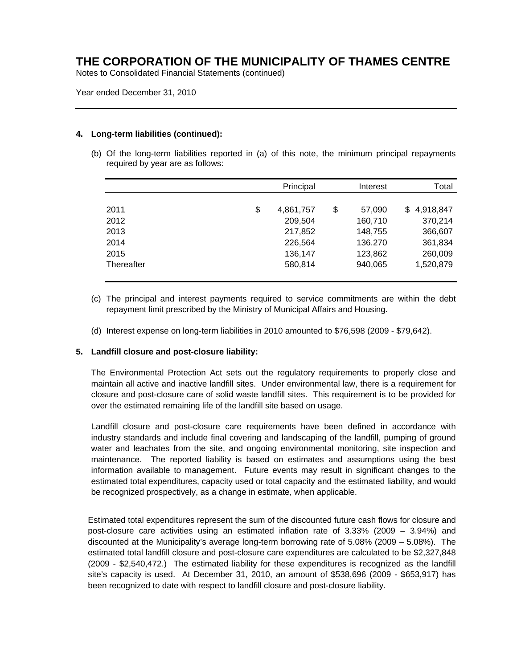Notes to Consolidated Financial Statements (continued)

Year ended December 31, 2010

#### **4. Long-term liabilities (continued):**

(b) Of the long-term liabilities reported in (a) of this note, the minimum principal repayments required by year are as follows:

|            | Principal       | Interest     | Total           |
|------------|-----------------|--------------|-----------------|
|            |                 |              |                 |
| 2011       | \$<br>4,861,757 | \$<br>57,090 | 4,918,847<br>S. |
| 2012       | 209,504         | 160,710      | 370,214         |
| 2013       | 217,852         | 148,755      | 366,607         |
| 2014       | 226,564         | 136.270      | 361,834         |
| 2015       | 136,147         | 123,862      | 260,009         |
| Thereafter | 580,814         | 940,065      | 1,520,879       |
|            |                 |              |                 |

- (c) The principal and interest payments required to service commitments are within the debt repayment limit prescribed by the Ministry of Municipal Affairs and Housing.
- (d) Interest expense on long-term liabilities in 2010 amounted to \$76,598 (2009 \$79,642).

#### **5. Landfill closure and post-closure liability:**

The Environmental Protection Act sets out the regulatory requirements to properly close and maintain all active and inactive landfill sites. Under environmental law, there is a requirement for closure and post-closure care of solid waste landfill sites. This requirement is to be provided for over the estimated remaining life of the landfill site based on usage.

Landfill closure and post-closure care requirements have been defined in accordance with industry standards and include final covering and landscaping of the landfill, pumping of ground water and leachates from the site, and ongoing environmental monitoring, site inspection and maintenance. The reported liability is based on estimates and assumptions using the best information available to management. Future events may result in significant changes to the estimated total expenditures, capacity used or total capacity and the estimated liability, and would be recognized prospectively, as a change in estimate, when applicable.

Estimated total expenditures represent the sum of the discounted future cash flows for closure and post-closure care activities using an estimated inflation rate of 3.33% (2009 – 3.94%) and discounted at the Municipality's average long-term borrowing rate of 5.08% (2009 – 5.08%). The estimated total landfill closure and post-closure care expenditures are calculated to be \$2,327,848 (2009 - \$2,540,472.) The estimated liability for these expenditures is recognized as the landfill site's capacity is used. At December 31, 2010, an amount of \$538,696 (2009 - \$653,917) has been recognized to date with respect to landfill closure and post-closure liability.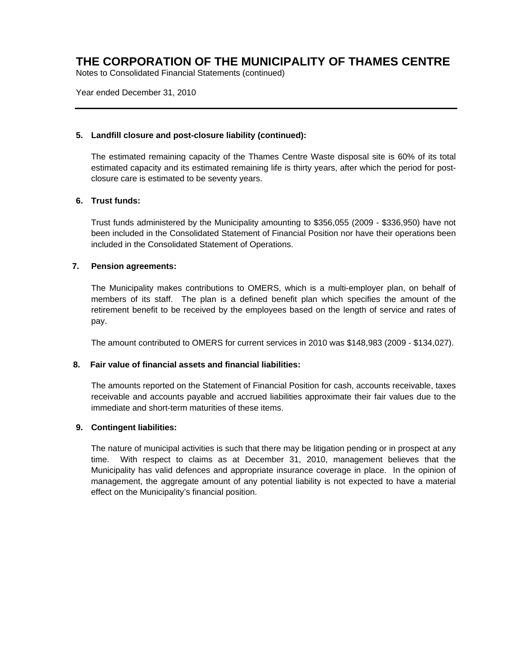Notes to Consolidated Financial Statements (continued)

Year ended December 31, 2010

#### **5. Landfill closure and post-closure liability (continued):**

The estimated remaining capacity of the Thames Centre Waste disposal site is 60% of its total estimated capacity and its estimated remaining life is thirty years, after which the period for postclosure care is estimated to be seventy years.

#### **6. Trust funds:**

Trust funds administered by the Municipality amounting to \$356,055 (2009 - \$336,950) have not been included in the Consolidated Statement of Financial Position nor have their operations been included in the Consolidated Statement of Operations.

#### **7. Pension agreements:**

The Municipality makes contributions to OMERS, which is a multi-employer plan, on behalf of members of its staff. The plan is a defined benefit plan which specifies the amount of the retirement benefit to be received by the employees based on the length of service and rates of pay.

The amount contributed to OMERS for current services in 2010 was \$148,983 (2009 - \$134,027).

#### **8. Fair value of financial assets and financial liabilities:**

The amounts reported on the Statement of Financial Position for cash, accounts receivable, taxes receivable and accounts payable and accrued liabilities approximate their fair values due to the immediate and short-term maturities of these items.

#### **9. Contingent liabilities:**

The nature of municipal activities is such that there may be litigation pending or in prospect at any time. With respect to claims as at December 31, 2010, management believes that the Municipality has valid defences and appropriate insurance coverage in place. In the opinion of management, the aggregate amount of any potential liability is not expected to have a material effect on the Municipality's financial position.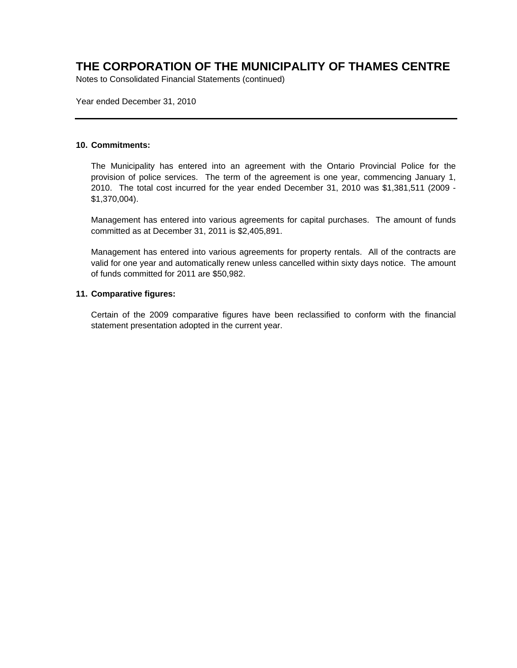Notes to Consolidated Financial Statements (continued)

Year ended December 31, 2010

#### **10. Commitments:**

The Municipality has entered into an agreement with the Ontario Provincial Police for the provision of police services. The term of the agreement is one year, commencing January 1, 2010. The total cost incurred for the year ended December 31, 2010 was \$1,381,511 (2009 - \$1,370,004).

Management has entered into various agreements for capital purchases. The amount of funds committed as at December 31, 2011 is \$2,405,891.

Management has entered into various agreements for property rentals. All of the contracts are valid for one year and automatically renew unless cancelled within sixty days notice. The amount of funds committed for 2011 are \$50,982.

#### **11. Comparative figures:**

Certain of the 2009 comparative figures have been reclassified to conform with the financial statement presentation adopted in the current year.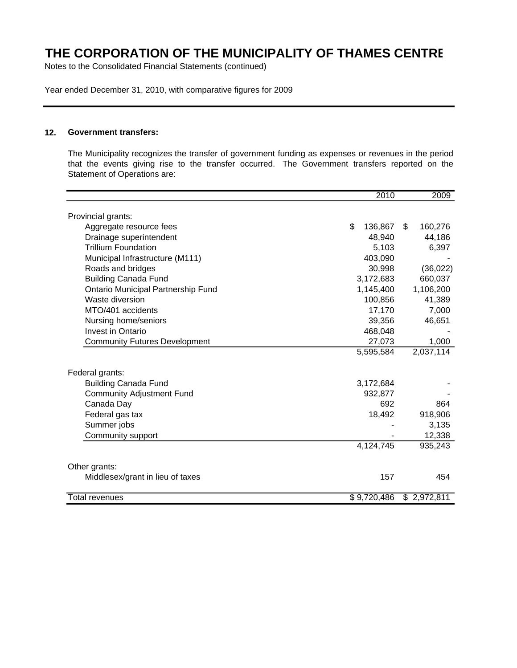Notes to the Consolidated Financial Statements (continued)

Year ended December 31, 2010, with comparative figures for 2009

#### **12. Government transfers:**

The Municipality recognizes the transfer of government funding as expenses or revenues in the period that the events giving rise to the transfer occurred. The Government transfers reported on the Statement of Operations are:

|                                      | 2010          | 2009          |
|--------------------------------------|---------------|---------------|
|                                      |               |               |
| Provincial grants:                   |               |               |
| Aggregate resource fees              | \$<br>136,867 | 160,276<br>\$ |
| Drainage superintendent              | 48,940        | 44,186        |
| <b>Trillium Foundation</b>           | 5,103         | 6,397         |
| Municipal Infrastructure (M111)      | 403,090       |               |
| Roads and bridges                    | 30,998        | (36, 022)     |
| <b>Building Canada Fund</b>          | 3,172,683     | 660,037       |
| Ontario Municipal Partnership Fund   | 1,145,400     | 1,106,200     |
| Waste diversion                      | 100,856       | 41,389        |
| MTO/401 accidents                    | 17,170        | 7,000         |
| Nursing home/seniors                 | 39,356        | 46,651        |
| <b>Invest in Ontario</b>             | 468,048       |               |
| <b>Community Futures Development</b> | 27,073        | 1,000         |
|                                      | 5,595,584     | 2,037,114     |
| Federal grants:                      |               |               |
| <b>Building Canada Fund</b>          | 3,172,684     |               |
| <b>Community Adjustment Fund</b>     | 932,877       |               |
| Canada Day                           | 692           | 864           |
| Federal gas tax                      | 18,492        | 918,906       |
| Summer jobs                          |               | 3,135         |
| Community support                    |               | 12,338        |
|                                      | 4,124,745     | 935,243       |
| Other grants:                        |               |               |
| Middlesex/grant in lieu of taxes     | 157           | 454           |
| <b>Total revenues</b>                | \$9,720,486   | \$2,972,811   |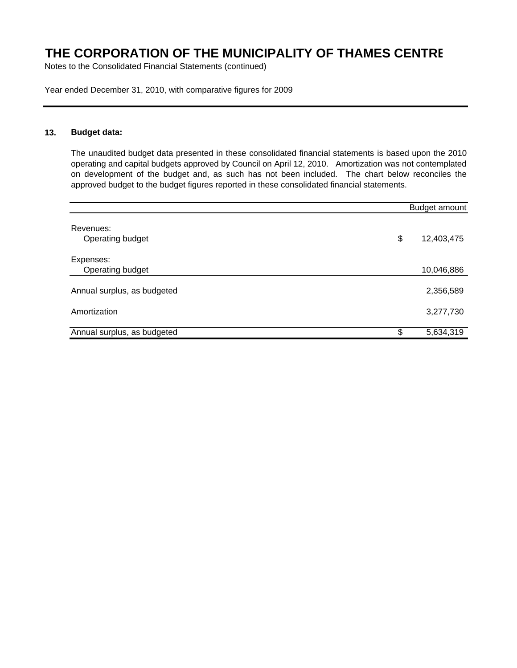Notes to the Consolidated Financial Statements (continued)

Year ended December 31, 2010, with comparative figures for 2009

#### **13. Budget data:**

The unaudited budget data presented in these consolidated financial statements is based upon the 2010 operating and capital budgets approved by Council on April 12, 2010. Amortization was not contemplated on development of the budget and, as such has not been included. The chart below reconciles the approved budget to the budget figures reported in these consolidated financial statements.

|                               | Budget amount    |
|-------------------------------|------------------|
| Revenues:<br>Operating budget | \$<br>12,403,475 |
| Expenses:<br>Operating budget | 10,046,886       |
| Annual surplus, as budgeted   | 2,356,589        |
| Amortization                  | 3,277,730        |
| Annual surplus, as budgeted   | \$<br>5,634,319  |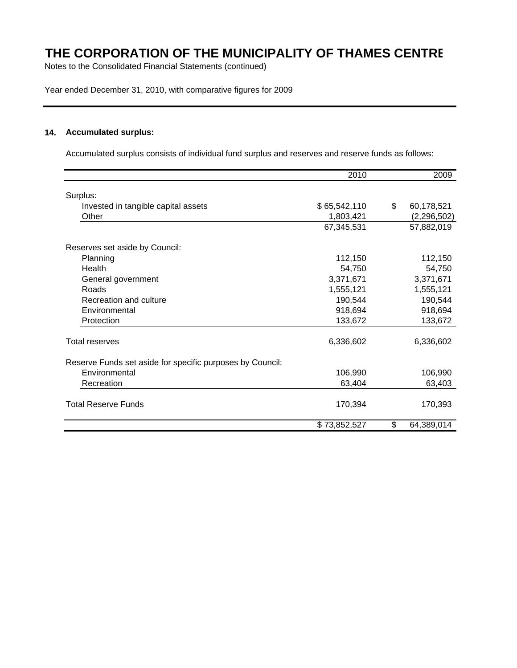Notes to the Consolidated Financial Statements (continued)

Year ended December 31, 2010, with comparative figures for 2009

#### **14. Accumulated surplus:**

Accumulated surplus consists of individual fund surplus and reserves and reserve funds as follows:

|                                                           | 2010         | 2009 |               |
|-----------------------------------------------------------|--------------|------|---------------|
| Surplus:                                                  |              |      |               |
| Invested in tangible capital assets                       | \$65,542,110 | \$   | 60,178,521    |
| Other                                                     | 1,803,421    |      | (2, 296, 502) |
|                                                           | 67,345,531   |      | 57,882,019    |
| Reserves set aside by Council:                            |              |      |               |
| Planning                                                  | 112,150      |      | 112,150       |
| Health                                                    | 54,750       |      | 54,750        |
| General government                                        | 3,371,671    |      | 3,371,671     |
| Roads                                                     | 1,555,121    |      | 1,555,121     |
| Recreation and culture                                    | 190,544      |      | 190,544       |
| Environmental                                             | 918,694      |      | 918,694       |
| Protection                                                | 133,672      |      | 133,672       |
| <b>Total reserves</b>                                     | 6,336,602    |      | 6,336,602     |
| Reserve Funds set aside for specific purposes by Council: |              |      |               |
| Environmental                                             | 106,990      |      | 106,990       |
| Recreation                                                | 63,404       |      | 63,403        |
| <b>Total Reserve Funds</b>                                | 170,394      |      | 170,393       |
|                                                           | \$73,852,527 | \$   | 64,389,014    |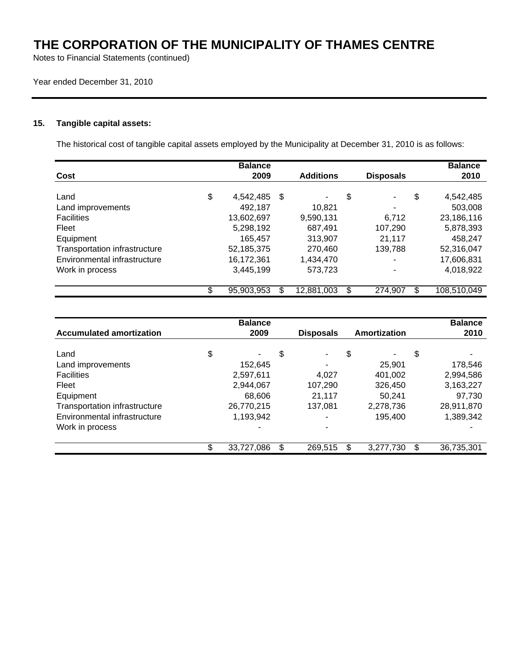Notes to Financial Statements (continued)

Year ended December 31, 2010

#### **15. Tangible capital assets:**

The historical cost of tangible capital assets employed by the Municipality at December 31, 2010 is as follows:

|                               | <b>Balance</b>  |    |                  |                  | <b>Balance</b>  |
|-------------------------------|-----------------|----|------------------|------------------|-----------------|
| Cost                          | 2009            |    | <b>Additions</b> | <b>Disposals</b> | 2010            |
| Land                          | \$<br>4,542,485 | \$ | ۰                | \$               | \$<br>4,542,485 |
| Land improvements             | 492,187         |    | 10,821           |                  | 503,008         |
| <b>Facilities</b>             | 13,602,697      |    | 9,590,131        | 6.712            | 23,186,116      |
| Fleet                         | 5,298,192       |    | 687,491          | 107,290          | 5,878,393       |
| Equipment                     | 165,457         |    | 313,907          | 21,117           | 458,247         |
| Transportation infrastructure | 52,185,375      |    | 270,460          | 139,788          | 52,316,047      |
| Environmental infrastructure  | 16,172,361      |    | 1,434,470        |                  | 17,606,831      |
| Work in process               | 3,445,199       |    | 573,723          |                  | 4,018,922       |
|                               | 95,903,953      | S  | 12,881,003       | 274,907          | 108,510,049     |

|                                 |      | <b>Balance</b> |    |                  |              |     | <b>Balance</b> |
|---------------------------------|------|----------------|----|------------------|--------------|-----|----------------|
| <b>Accumulated amortization</b> | 2009 |                |    | <b>Disposals</b> | Amortization |     | 2010           |
|                                 |      |                |    |                  |              |     |                |
| Land                            | \$   |                | \$ |                  | \$           | \$  |                |
| Land improvements               |      | 152.645        |    |                  | 25,901       |     | 178,546        |
| <b>Facilities</b>               |      | 2,597,611      |    | 4,027            | 401,002      |     | 2,994,586      |
| Fleet                           |      | 2,944,067      |    | 107,290          | 326,450      |     | 3,163,227      |
| Equipment                       |      | 68,606         |    | 21,117           | 50.241       |     | 97.730         |
| Transportation infrastructure   |      | 26,770,215     |    | 137,081          | 2,278,736    |     | 28,911,870     |
| Environmental infrastructure    |      | 1,193,942      |    |                  | 195.400      |     | 1,389,342      |
| Work in process                 |      |                |    |                  |              |     |                |
|                                 |      | 33,727,086     | \$ | 269.515          | 3,277,730    | \$. | 36,735,301     |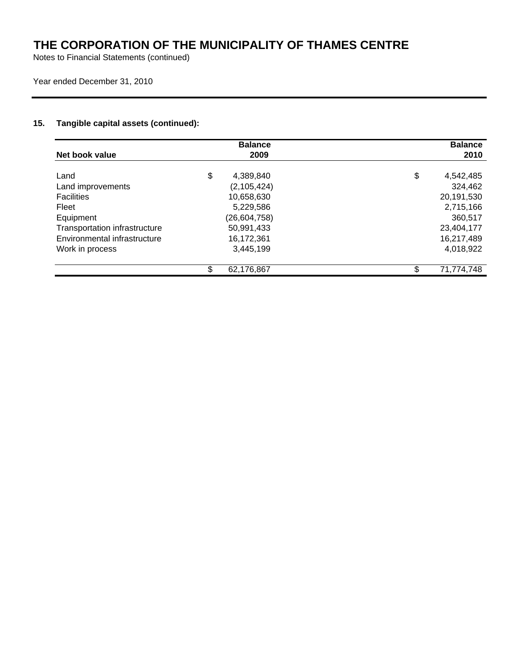Notes to Financial Statements (continued)

Year ended December 31, 2010

#### **15. Tangible capital assets (continued):**

| Net book value                | <b>Balance</b><br>2009 | <b>Balance</b><br>2010 |  |  |
|-------------------------------|------------------------|------------------------|--|--|
|                               |                        |                        |  |  |
| Land                          | \$<br>4,389,840        | \$<br>4,542,485        |  |  |
| Land improvements             | (2, 105, 424)          | 324,462                |  |  |
| <b>Facilities</b>             | 10,658,630             | 20,191,530             |  |  |
| Fleet                         | 5,229,586              | 2,715,166              |  |  |
| Equipment                     | (26, 604, 758)         | 360,517                |  |  |
| Transportation infrastructure | 50,991,433             | 23,404,177             |  |  |
| Environmental infrastructure  | 16,172,361             | 16,217,489             |  |  |
| Work in process               | 3,445,199              | 4,018,922              |  |  |
|                               | 62,176,867             | 71,774,748             |  |  |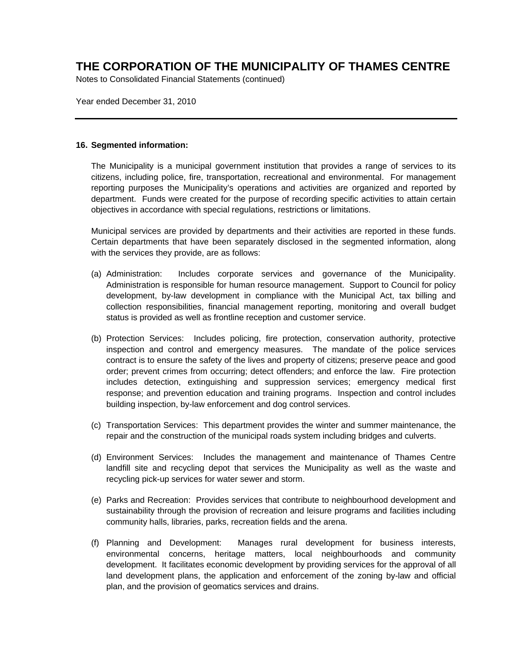Notes to Consolidated Financial Statements (continued)

Year ended December 31, 2010

#### **16. Segmented information:**

The Municipality is a municipal government institution that provides a range of services to its citizens, including police, fire, transportation, recreational and environmental. For management reporting purposes the Municipality's operations and activities are organized and reported by department. Funds were created for the purpose of recording specific activities to attain certain objectives in accordance with special regulations, restrictions or limitations.

Municipal services are provided by departments and their activities are reported in these funds. Certain departments that have been separately disclosed in the segmented information, along with the services they provide, are as follows:

- (a) Administration: Includes corporate services and governance of the Municipality. Administration is responsible for human resource management. Support to Council for policy development, by-law development in compliance with the Municipal Act, tax billing and collection responsibilities, financial management reporting, monitoring and overall budget status is provided as well as frontline reception and customer service.
- (b) Protection Services: Includes policing, fire protection, conservation authority, protective inspection and control and emergency measures. The mandate of the police services contract is to ensure the safety of the lives and property of citizens; preserve peace and good order; prevent crimes from occurring; detect offenders; and enforce the law. Fire protection includes detection, extinguishing and suppression services; emergency medical first response; and prevention education and training programs. Inspection and control includes building inspection, by-law enforcement and dog control services.
- (c) Transportation Services: This department provides the winter and summer maintenance, the repair and the construction of the municipal roads system including bridges and culverts.
- (d) Environment Services: Includes the management and maintenance of Thames Centre landfill site and recycling depot that services the Municipality as well as the waste and recycling pick-up services for water sewer and storm.
- (e) Parks and Recreation: Provides services that contribute to neighbourhood development and sustainability through the provision of recreation and leisure programs and facilities including community halls, libraries, parks, recreation fields and the arena.
- (f) Planning and Development: Manages rural development for business interests, environmental concerns, heritage matters, local neighbourhoods and community development. It facilitates economic development by providing services for the approval of all land development plans, the application and enforcement of the zoning by-law and official plan, and the provision of geomatics services and drains.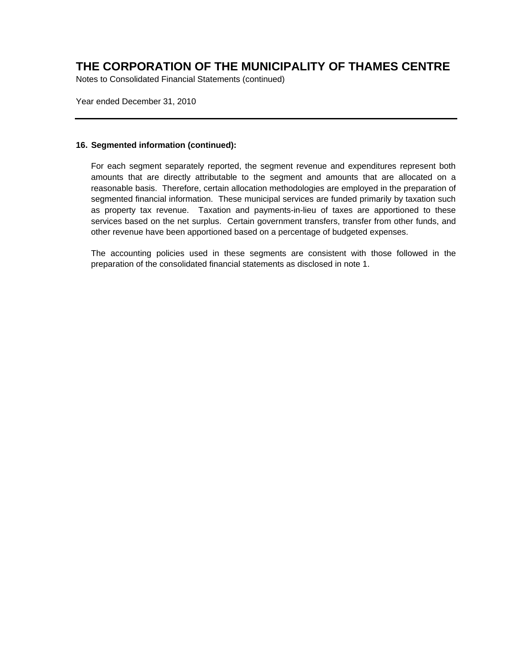Notes to Consolidated Financial Statements (continued)

Year ended December 31, 2010

#### **16. Segmented information (continued):**

For each segment separately reported, the segment revenue and expenditures represent both amounts that are directly attributable to the segment and amounts that are allocated on a reasonable basis. Therefore, certain allocation methodologies are employed in the preparation of segmented financial information. These municipal services are funded primarily by taxation such as property tax revenue. Taxation and payments-in-lieu of taxes are apportioned to these services based on the net surplus. Certain government transfers, transfer from other funds, and other revenue have been apportioned based on a percentage of budgeted expenses.

The accounting policies used in these segments are consistent with those followed in the preparation of the consolidated financial statements as disclosed in note 1.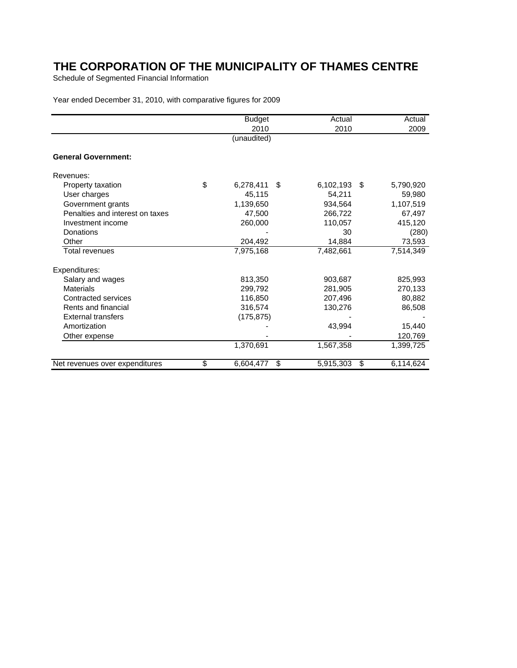|  | Year ended December 31, 2010, with comparative figures for 2009 |
|--|-----------------------------------------------------------------|
|--|-----------------------------------------------------------------|

|                                 | <b>Budget</b><br>2010 | Actual<br>2010 | Actual<br>2009  |
|---------------------------------|-----------------------|----------------|-----------------|
|                                 | (unaudited)           |                |                 |
|                                 |                       |                |                 |
| <b>General Government:</b>      |                       |                |                 |
| Revenues:                       |                       |                |                 |
| Property taxation               | \$<br>6,278,411<br>\$ | 6,102,193      | \$<br>5,790,920 |
| User charges                    | 45,115                | 54,211         | 59,980          |
| Government grants               | 1,139,650             | 934,564        | 1,107,519       |
| Penalties and interest on taxes | 47,500                | 266,722        | 67,497          |
| Investment income               | 260,000               | 110,057        | 415,120         |
| Donations                       |                       | 30             | (280)           |
| Other                           | 204,492               | 14,884         | 73,593          |
| <b>Total revenues</b>           | 7,975,168             | 7,482,661      | 7,514,349       |
| Expenditures:                   |                       |                |                 |
| Salary and wages                | 813,350               | 903,687        | 825,993         |
| <b>Materials</b>                | 299,792               | 281,905        | 270,133         |
| Contracted services             | 116,850               | 207.496        | 80,882          |
| Rents and financial             | 316,574               | 130,276        | 86,508          |
| <b>External transfers</b>       | (175, 875)            |                |                 |
| Amortization                    |                       | 43,994         | 15,440          |
| Other expense                   |                       |                | 120,769         |
|                                 | 1,370,691             | 1,567,358      | 1,399,725       |
| Net revenues over expenditures  | \$<br>\$<br>6,604,477 | 5,915,303      | \$<br>6,114,624 |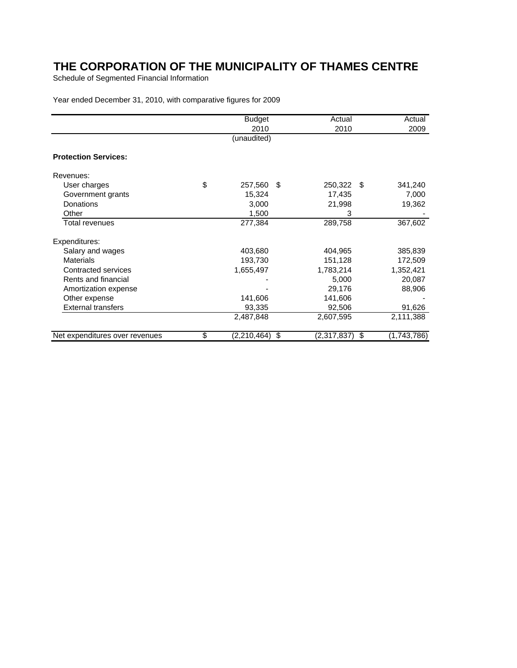| Year ended December 31, 2010, with comparative figures for 2009 |  |  |  |
|-----------------------------------------------------------------|--|--|--|
|-----------------------------------------------------------------|--|--|--|

|                                | <b>Budget</b>           | Actual      | Actual            |
|--------------------------------|-------------------------|-------------|-------------------|
|                                | 2010                    | 2010        | 2009              |
|                                | (unaudited)             |             |                   |
| <b>Protection Services:</b>    |                         |             |                   |
| Revenues:                      |                         |             |                   |
| User charges                   | \$<br>257,560<br>\$     | 250,322     | \$<br>341,240     |
| Government grants              | 15,324                  | 17,435      | 7,000             |
| <b>Donations</b>               | 3,000                   | 21,998      | 19,362            |
| Other                          | 1,500                   | 3           |                   |
| Total revenues                 | 277,384                 | 289,758     | 367,602           |
| Expenditures:                  |                         |             |                   |
| Salary and wages               | 403,680                 | 404,965     | 385,839           |
| <b>Materials</b>               | 193,730                 | 151,128     | 172,509           |
| Contracted services            | 1,655,497               | 1,783,214   | 1,352,421         |
| Rents and financial            |                         | 5,000       | 20,087            |
| Amortization expense           |                         | 29,176      | 88,906            |
| Other expense                  | 141,606                 | 141,606     |                   |
| <b>External transfers</b>      | 93,335                  | 92,506      | 91,626            |
|                                | 2,487,848               | 2,607,595   | 2,111,388         |
| Net expenditures over revenues | \$<br>(2,210,464)<br>\$ | (2,317,837) | \$<br>(1,743,786) |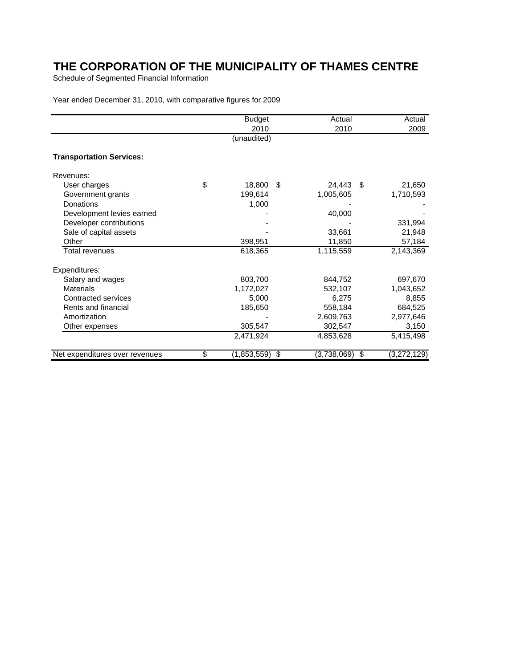|  | Year ended December 31, 2010, with comparative figures for 2009 |
|--|-----------------------------------------------------------------|
|--|-----------------------------------------------------------------|

|                                 | <b>Budget</b>     | Actual            | Actual            |
|---------------------------------|-------------------|-------------------|-------------------|
|                                 | 2010              | 2010              | 2009              |
|                                 | (unaudited)       |                   |                   |
| <b>Transportation Services:</b> |                   |                   |                   |
| Revenues:                       |                   |                   |                   |
| User charges                    | \$<br>18,800      | \$<br>24,443      | \$<br>21,650      |
| Government grants               | 199,614           | 1,005,605         | 1,710,593         |
| <b>Donations</b>                | 1,000             |                   |                   |
| Development levies earned       |                   | 40,000            |                   |
| Developer contributions         |                   |                   | 331,994           |
| Sale of capital assets          |                   | 33,661            | 21,948            |
| Other                           | 398,951           | 11,850            | 57,184            |
| <b>Total revenues</b>           | 618,365           | 1,115,559         | 2,143,369         |
| Expenditures:                   |                   |                   |                   |
| Salary and wages                | 803,700           | 844,752           | 697,670           |
| <b>Materials</b>                | 1,172,027         | 532,107           | 1,043,652         |
| Contracted services             | 5,000             | 6,275             | 8,855             |
| Rents and financial             | 185,650           | 558,184           | 684,525           |
| Amortization                    |                   | 2,609,763         | 2,977,646         |
| Other expenses                  | 305,547           | 302,547           | 3,150             |
|                                 | 2,471,924         | 4,853,628         | 5,415,498         |
| Net expenditures over revenues  | \$<br>(1,853,559) | \$<br>(3,738,069) | \$<br>(3,272,129) |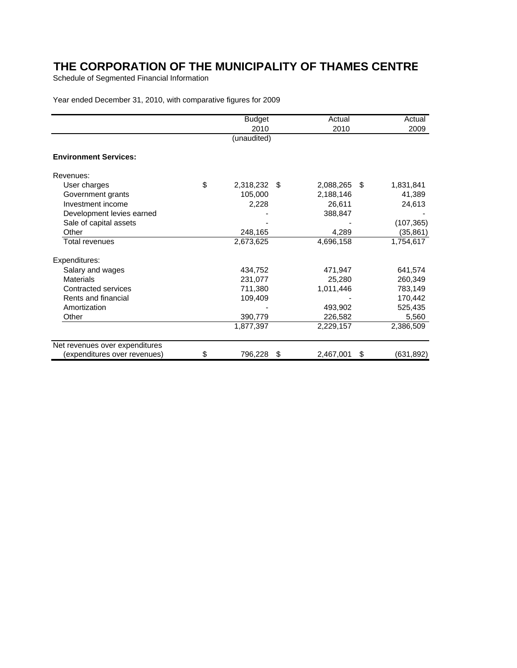|  | Year ended December 31, 2010, with comparative figures for 2009 |
|--|-----------------------------------------------------------------|
|--|-----------------------------------------------------------------|

|                                | <b>Budget</b>         | Actual          | Actual     |
|--------------------------------|-----------------------|-----------------|------------|
|                                | 2010                  | 2010            | 2009       |
|                                | (unaudited)           |                 |            |
| <b>Environment Services:</b>   |                       |                 |            |
| Revenues:                      |                       |                 |            |
| User charges                   | \$<br>2,318,232<br>\$ | 2,088,265<br>\$ | 1,831,841  |
| Government grants              | 105,000               | 2,188,146       | 41,389     |
| Investment income              | 2,228                 | 26,611          | 24,613     |
| Development levies earned      |                       | 388,847         |            |
| Sale of capital assets         |                       |                 | (107, 365) |
| Other                          | 248,165               | 4,289           | (35, 861)  |
| Total revenues                 | 2,673,625             | 4,696,158       | 1,754,617  |
| Expenditures:                  |                       |                 |            |
| Salary and wages               | 434,752               | 471,947         | 641,574    |
| Materials                      | 231,077               | 25,280          | 260,349    |
| Contracted services            | 711,380               | 1,011,446       | 783,149    |
| Rents and financial            | 109,409               |                 | 170,442    |
| Amortization                   |                       | 493,902         | 525,435    |
| Other                          | 390,779               | 226,582         | 5,560      |
|                                | 1,877,397             | 2,229,157       | 2,386,509  |
| Net revenues over expenditures |                       |                 |            |
| (expenditures over revenues)   | \$<br>796,228<br>\$   | 2,467,001<br>\$ | (631,892)  |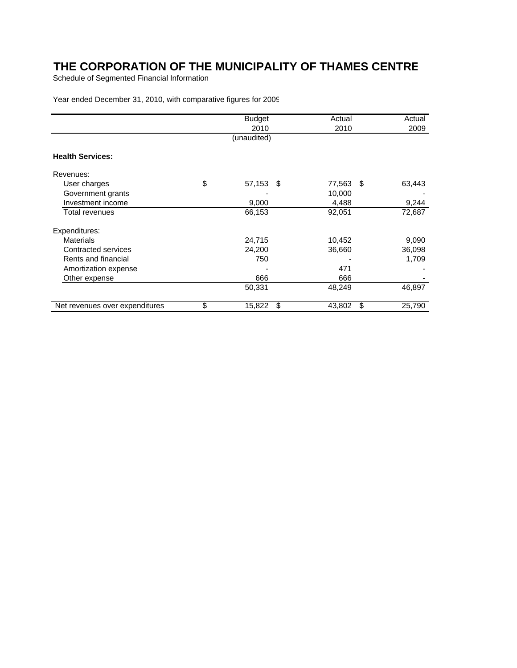| Year ended December 31, 2010, with comparative figures for 2009 |  |  |  |
|-----------------------------------------------------------------|--|--|--|
|-----------------------------------------------------------------|--|--|--|

|                                | <b>Budget</b>      | Actual       | Actual |
|--------------------------------|--------------------|--------------|--------|
|                                | 2010               | 2010         | 2009   |
|                                | (unaudited)        |              |        |
| <b>Health Services:</b>        |                    |              |        |
| Revenues:                      |                    |              |        |
| User charges                   | \$<br>57,153 \$    | 77,563 \$    | 63,443 |
| Government grants              |                    | 10,000       |        |
| Investment income              | 9,000              | 4,488        | 9,244  |
| Total revenues                 | 66,153             | 92,051       | 72,687 |
| Expenditures:                  |                    |              |        |
| <b>Materials</b>               | 24,715             | 10,452       | 9,090  |
| Contracted services            | 24,200             | 36,660       | 36,098 |
| Rents and financial            | 750                |              | 1,709  |
| Amortization expense           |                    | 471          |        |
| Other expense                  | 666                | 666          |        |
|                                | 50,331             | 48,249       | 46,897 |
| Net revenues over expenditures | \$<br>15,822<br>\$ | \$<br>43,802 | 25,790 |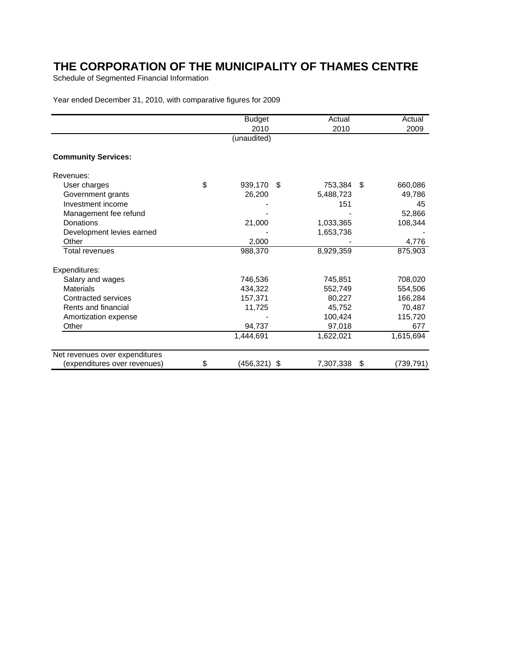|  | Year ended December 31, 2010, with comparative figures for 2009 |
|--|-----------------------------------------------------------------|
|--|-----------------------------------------------------------------|

|                                | <b>Budget</b>   | Actual          | Actual          |
|--------------------------------|-----------------|-----------------|-----------------|
|                                | 2010            | 2010            | 2009            |
|                                | (unaudited)     |                 |                 |
| <b>Community Services:</b>     |                 |                 |                 |
| Revenues:                      |                 |                 |                 |
| User charges                   | \$<br>939,170   | \$<br>753,384   | \$<br>660,086   |
| Government grants              | 26,200          | 5,488,723       | 49,786          |
| Investment income              |                 | 151             | 45              |
| Management fee refund          |                 |                 | 52,866          |
| Donations                      | 21,000          | 1,033,365       | 108,344         |
| Development levies earned      |                 | 1,653,736       |                 |
| Other                          | 2,000           |                 | 4,776           |
| Total revenues                 | 988,370         | 8,929,359       | 875,903         |
| Expenditures:                  |                 |                 |                 |
| Salary and wages               | 746,536         | 745,851         | 708,020         |
| <b>Materials</b>               | 434,322         | 552,749         | 554,506         |
| Contracted services            | 157,371         | 80,227          | 166,284         |
| Rents and financial            | 11,725          | 45,752          | 70,487          |
| Amortization expense           |                 | 100,424         | 115,720         |
| Other                          | 94,737          | 97,018          | 677             |
|                                | 1,444,691       | 1,622,021       | 1,615,694       |
| Net revenues over expenditures |                 |                 |                 |
| (expenditures over revenues)   | \$<br>(456,321) | \$<br>7,307,338 | \$<br>(739,791) |